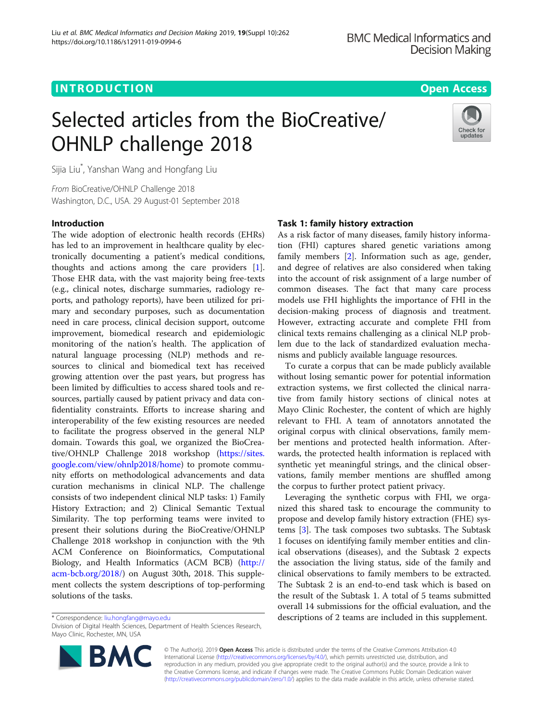# **INTRODUCTION CONSUMING THE OPEN ACCESS**

# Selected articles from the BioCreative/ OHNLP challenge 2018



Sijia Liu\* , Yanshan Wang and Hongfang Liu

From BioCreative/OHNLP Challenge 2018 Washington, D.C., USA. 29 August-01 September 2018

# Introduction

The wide adoption of electronic health records (EHRs) has led to an improvement in healthcare quality by electronically documenting a patient's medical conditions, thoughts and actions among the care providers [\[1](#page-2-0)]. Those EHR data, with the vast majority being free-texts (e.g., clinical notes, discharge summaries, radiology reports, and pathology reports), have been utilized for primary and secondary purposes, such as documentation need in care process, clinical decision support, outcome improvement, biomedical research and epidemiologic monitoring of the nation's health. The application of natural language processing (NLP) methods and resources to clinical and biomedical text has received growing attention over the past years, but progress has been limited by difficulties to access shared tools and resources, partially caused by patient privacy and data confidentiality constraints. Efforts to increase sharing and interoperability of the few existing resources are needed to facilitate the progress observed in the general NLP domain. Towards this goal, we organized the BioCreative/OHNLP Challenge 2018 workshop ([https://sites.](https://sites.google.com/view/ohnlp2018/home) [google.com/view/ohnlp2018/home](https://sites.google.com/view/ohnlp2018/home)) to promote community efforts on methodological advancements and data curation mechanisms in clinical NLP. The challenge consists of two independent clinical NLP tasks: 1) Family History Extraction; and 2) Clinical Semantic Textual Similarity. The top performing teams were invited to present their solutions during the BioCreative/OHNLP Challenge 2018 workshop in conjunction with the 9th ACM Conference on Bioinformatics, Computational Biology, and Health Informatics (ACM BCB) [\(http://](http://acm-bcb.org/2018/) [acm-bcb.org/2018/](http://acm-bcb.org/2018/)) on August 30th, 2018. This supplement collects the system descriptions of top-performing solutions of the tasks.

Division of Digital Health Sciences, Department of Health Sciences Research, Mayo Clinic, Rochester, MN, USA



# Task 1: family history extraction

As a risk factor of many diseases, family history information (FHI) captures shared genetic variations among family members [[2\]](#page-2-0). Information such as age, gender, and degree of relatives are also considered when taking into the account of risk assignment of a large number of common diseases. The fact that many care process models use FHI highlights the importance of FHI in the decision-making process of diagnosis and treatment. However, extracting accurate and complete FHI from clinical texts remains challenging as a clinical NLP problem due to the lack of standardized evaluation mechanisms and publicly available language resources.

To curate a corpus that can be made publicly available without losing semantic power for potential information extraction systems, we first collected the clinical narrative from family history sections of clinical notes at Mayo Clinic Rochester, the content of which are highly relevant to FHI. A team of annotators annotated the original corpus with clinical observations, family member mentions and protected health information. Afterwards, the protected health information is replaced with synthetic yet meaningful strings, and the clinical observations, family member mentions are shuffled among the corpus to further protect patient privacy.

Leveraging the synthetic corpus with FHI, we organized this shared task to encourage the community to propose and develop family history extraction (FHE) systems [\[3\]](#page-2-0). The task composes two subtasks. The Subtask 1 focuses on identifying family member entities and clinical observations (diseases), and the Subtask 2 expects the association the living status, side of the family and clinical observations to family members to be extracted. The Subtask 2 is an end-to-end task which is based on the result of the Subtask 1. A total of 5 teams submitted overall 14 submissions for the official evaluation, and the descriptions of 2 teams are included in this supplement.

© The Author(s). 2019 **Open Access** This article is distributed under the terms of the Creative Commons Attribution 4.0 International License [\(http://creativecommons.org/licenses/by/4.0/](http://creativecommons.org/licenses/by/4.0/)), which permits unrestricted use, distribution, and reproduction in any medium, provided you give appropriate credit to the original author(s) and the source, provide a link to the Creative Commons license, and indicate if changes were made. The Creative Commons Public Domain Dedication waiver [\(http://creativecommons.org/publicdomain/zero/1.0/](http://creativecommons.org/publicdomain/zero/1.0/)) applies to the data made available in this article, unless otherwise stated.

<sup>\*</sup> Correspondence: [liu.hongfang@mayo.edu](mailto:liu.hongfang@mayo.edu)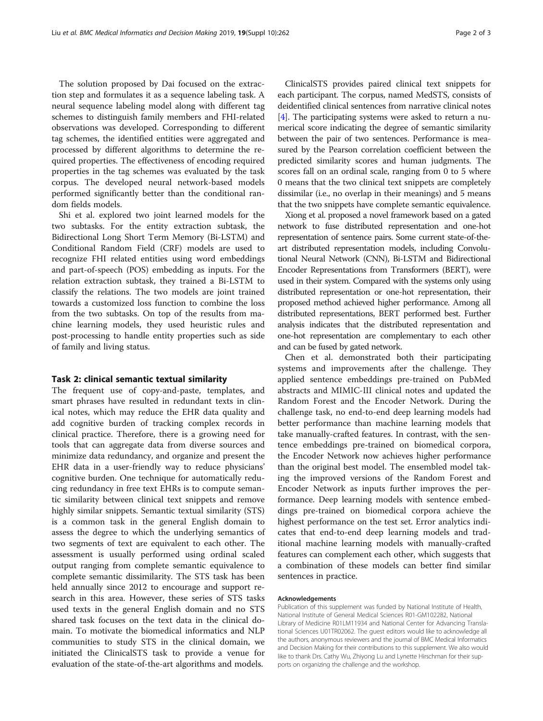The solution proposed by Dai focused on the extraction step and formulates it as a sequence labeling task. A neural sequence labeling model along with different tag schemes to distinguish family members and FHI-related observations was developed. Corresponding to different tag schemes, the identified entities were aggregated and processed by different algorithms to determine the required properties. The effectiveness of encoding required properties in the tag schemes was evaluated by the task corpus. The developed neural network-based models performed significantly better than the conditional random fields models.

Shi et al. explored two joint learned models for the two subtasks. For the entity extraction subtask, the Bidirectional Long Short Term Memory (Bi-LSTM) and Conditional Random Field (CRF) models are used to recognize FHI related entities using word embeddings and part-of-speech (POS) embedding as inputs. For the relation extraction subtask, they trained a Bi-LSTM to classify the relations. The two models are joint trained towards a customized loss function to combine the loss from the two subtasks. On top of the results from machine learning models, they used heuristic rules and post-processing to handle entity properties such as side of family and living status.

#### Task 2: clinical semantic textual similarity

The frequent use of copy-and-paste, templates, and smart phrases have resulted in redundant texts in clinical notes, which may reduce the EHR data quality and add cognitive burden of tracking complex records in clinical practice. Therefore, there is a growing need for tools that can aggregate data from diverse sources and minimize data redundancy, and organize and present the EHR data in a user-friendly way to reduce physicians' cognitive burden. One technique for automatically reducing redundancy in free text EHRs is to compute semantic similarity between clinical text snippets and remove highly similar snippets. Semantic textual similarity (STS) is a common task in the general English domain to assess the degree to which the underlying semantics of two segments of text are equivalent to each other. The assessment is usually performed using ordinal scaled output ranging from complete semantic equivalence to complete semantic dissimilarity. The STS task has been held annually since 2012 to encourage and support research in this area. However, these series of STS tasks used texts in the general English domain and no STS shared task focuses on the text data in the clinical domain. To motivate the biomedical informatics and NLP communities to study STS in the clinical domain, we initiated the ClinicalSTS task to provide a venue for evaluation of the state-of-the-art algorithms and models.

ClinicalSTS provides paired clinical text snippets for each participant. The corpus, named MedSTS, consists of deidentified clinical sentences from narrative clinical notes [[4\]](#page-2-0). The participating systems were asked to return a numerical score indicating the degree of semantic similarity between the pair of two sentences. Performance is measured by the Pearson correlation coefficient between the predicted similarity scores and human judgments. The scores fall on an ordinal scale, ranging from 0 to 5 where 0 means that the two clinical text snippets are completely dissimilar (i.e., no overlap in their meanings) and 5 means that the two snippets have complete semantic equivalence.

Xiong et al. proposed a novel framework based on a gated network to fuse distributed representation and one-hot representation of sentence pairs. Some current state-of-theart distributed representation models, including Convolutional Neural Network (CNN), Bi-LSTM and Bidirectional Encoder Representations from Transformers (BERT), were used in their system. Compared with the systems only using distributed representation or one-hot representation, their proposed method achieved higher performance. Among all distributed representations, BERT performed best. Further analysis indicates that the distributed representation and one-hot representation are complementary to each other and can be fused by gated network.

Chen et al. demonstrated both their participating systems and improvements after the challenge. They applied sentence embeddings pre-trained on PubMed abstracts and MIMIC-III clinical notes and updated the Random Forest and the Encoder Network. During the challenge task, no end-to-end deep learning models had better performance than machine learning models that take manually-crafted features. In contrast, with the sentence embeddings pre-trained on biomedical corpora, the Encoder Network now achieves higher performance than the original best model. The ensembled model taking the improved versions of the Random Forest and Encoder Network as inputs further improves the performance. Deep learning models with sentence embeddings pre-trained on biomedical corpora achieve the highest performance on the test set. Error analytics indicates that end-to-end deep learning models and traditional machine learning models with manually-crafted features can complement each other, which suggests that a combination of these models can better find similar sentences in practice.

#### Acknowledgements

Publication of this supplement was funded by National Institute of Health, National Institute of General Medical Sciences R01-GM102282, National Library of Medicine R01LM11934 and National Center for Advancing Translational Sciences U01TR02062. The guest editors would like to acknowledge all the authors, anonymous reviewers and the journal of BMC Medical Informatics and Decision Making for their contributions to this supplement. We also would like to thank Drs. Cathy Wu, Zhiyong Lu and Lynette Hirschman for their supports on organizing the challenge and the workshop.